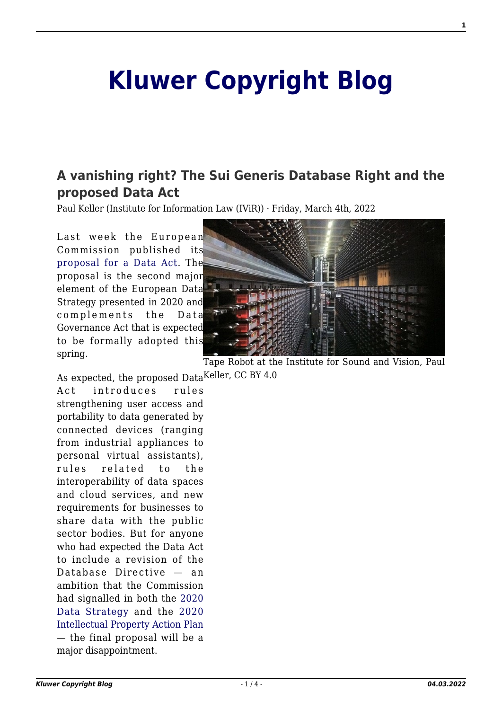# **[Kluwer Copyright Blog](http://copyrightblog.kluweriplaw.com/)**

## **[A vanishing right? The Sui Generis Database Right and the](http://copyrightblog.kluweriplaw.com/2022/03/04/a-vanishing-right-the-sui-generis-database-right-and-the-proposed-data-act/) [proposed Data Act](http://copyrightblog.kluweriplaw.com/2022/03/04/a-vanishing-right-the-sui-generis-database-right-and-the-proposed-data-act/)**

Paul Keller (Institute for Information Law (IViR)) · Friday, March 4th, 2022

Last week the European Commission published its [proposal for a Data Act.](https://ec.europa.eu/commission/presscorner/detail/en/ip_22_1113) The proposal is the second major element of the European Data Strategy presented in 2020 and complements the Data Governance Act that is expected to be formally adopted this spring.



Tape Robot at the Institute for Sound and Vision, Paul

As expected, the proposed Data<sup>Keller, CC BY 4.0</sup> Act introduces rules strengthening user access and portability to data generated by connected devices (ranging from industrial appliances to personal virtual assistants), rules related to the interoperability of data spaces and cloud services, and new requirements for businesses to share data with the public sector bodies. But for anyone who had expected the Data Act to include a revision of the Database Directive — an ambition that the Commission had signalled in both the [2020](https://eur-lex.europa.eu/legal-content/EN/TXT/?qid=1593073685620&uri=CELEX%3A52020DC0066) [Data Strategy](https://eur-lex.europa.eu/legal-content/EN/TXT/?qid=1593073685620&uri=CELEX%3A52020DC0066) and the [2020](https://eur-lex.europa.eu/legal-content/EN/ALL/?uri=CELEX:52020DC0760) [Intellectual Property Action Plan](https://eur-lex.europa.eu/legal-content/EN/ALL/?uri=CELEX:52020DC0760) — the final proposal will be a major disappointment.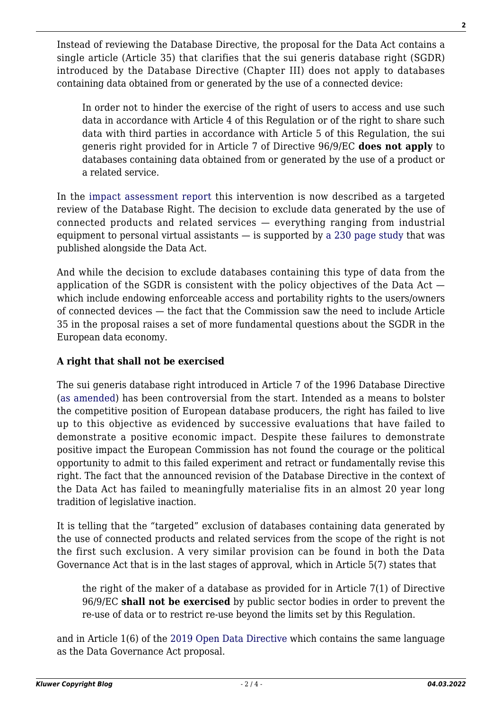Instead of reviewing the Database Directive, the proposal for the Data Act contains a single article (Article 35) that clarifies that the sui generis database right (SGDR) introduced by the Database Directive (Chapter III) does not apply to databases containing data obtained from or generated by the use of a connected device:

In order not to hinder the exercise of the right of users to access and use such data in accordance with Article 4 of this Regulation or of the right to share such data with third parties in accordance with Article 5 of this Regulation, the sui generis right provided for in Article 7 of Directive 96/9/EC **does not apply** to databases containing data obtained from or generated by the use of a product or a related service.

In the [impact assessment report](https://ec.europa.eu/newsroom/dae/redirection/document/83524) this intervention is now described as a targeted review of the Database Right. The decision to exclude data generated by the use of connected products and related services — everything ranging from industrial equipment to personal virtual assistants  $-$  is supported by [a 230 page study](https://ec.europa.eu/newsroom/dae/redirection/document/83514) that was published alongside the Data Act.

And while the decision to exclude databases containing this type of data from the application of the SGDR is consistent with the policy objectives of the Data Act which include endowing enforceable access and portability rights to the users/owners of connected devices — the fact that the Commission saw the need to include Article 35 in the proposal raises a set of more fundamental questions about the SGDR in the European data economy.

#### **A right that shall not be exercised**

The sui generis database right introduced in Article 7 of the 1996 Database Directive ([as amended](https://eur-lex.europa.eu/eli/dir/1996/9/oj)) has been controversial from the start. Intended as a means to bolster the competitive position of European database producers, the right has failed to live up to this objective as evidenced by successive evaluations that have failed to demonstrate a positive economic impact. Despite these failures to demonstrate positive impact the European Commission has not found the courage or the political opportunity to admit to this failed experiment and retract or fundamentally revise this right. The fact that the announced revision of the Database Directive in the context of the Data Act has failed to meaningfully materialise fits in an almost 20 year long tradition of legislative inaction.

It is telling that the "targeted" exclusion of databases containing data generated by the use of connected products and related services from the scope of the right is not the first such exclusion. A very similar provision can be found in both the Data Governance Act that is in the last stages of approval, which in Article 5(7) states that

the right of the maker of a database as provided for in Article 7(1) of Directive 96/9/EC **shall not be exercised** by public sector bodies in order to prevent the re-use of data or to restrict re-use beyond the limits set by this Regulation.

and in Article 1(6) of the [2019 Open Data Directive](https://www.google.com/url?q=https://eur-lex.europa.eu/legal-content/EN/TXT/HTML/?uri%3DCELEX:32019L1024%26from%3DEN&sa=D&source=docs&ust=1646225466903932&usg=AOvVaw30N9PBZ5E91rkNpv7zVDZF) which contains the same language as the Data Governance Act proposal.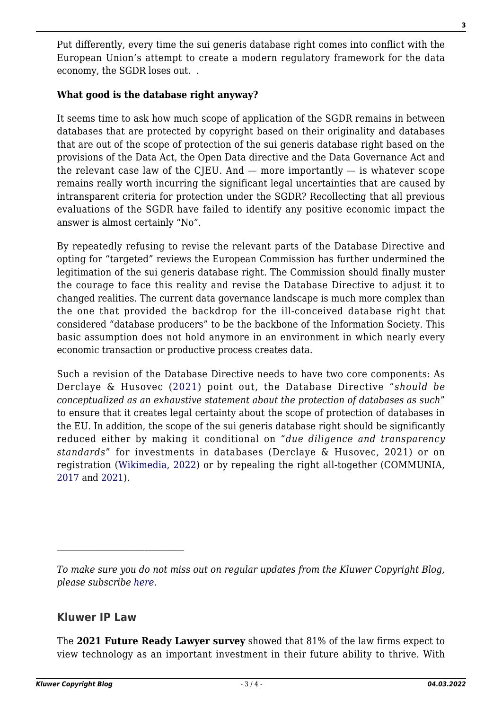Put differently, every time the sui generis database right comes into conflict with the European Union's attempt to create a modern regulatory framework for the data economy, the SGDR loses out. .

#### **What good is the database right anyway?**

It seems time to ask how much scope of application of the SGDR remains in between databases that are protected by copyright based on their originality and databases that are out of the scope of protection of the sui generis database right based on the provisions of the Data Act, the Open Data directive and the Data Governance Act and the relevant case law of the CJEU. And  $-$  more importantly  $-$  is whatever scope remains really worth incurring the significant legal uncertainties that are caused by intransparent criteria for protection under the SGDR? Recollecting that all previous evaluations of the SGDR have failed to identify any positive economic impact the answer is almost certainly "No".

By repeatedly refusing to revise the relevant parts of the Database Directive and opting for "targeted" reviews the European Commission has further undermined the legitimation of the sui generis database right. The Commission should finally muster the courage to face this reality and revise the Database Directive to adjust it to changed realities. The current data governance landscape is much more complex than the one that provided the backdrop for the ill-conceived database right that considered "database producers" to be the backbone of the Information Society. This basic assumption does not hold anymore in an environment in which nearly every economic transaction or productive process creates data.

Such a revision of the Database Directive needs to have two core components: As Derclaye & Husovec ([2021\)](https://papers.ssrn.com/sol3/papers.cfm?abstract_id=3964943) point out, the Database Directive "*should be conceptualized as an exhaustive statement about the protection of databases as such*" to ensure that it creates legal certainty about the scope of protection of databases in the EU. In addition, the scope of the sui generis database right should be significantly reduced either by making it conditional on "*due diligence and transparency standards*" for investments in databases (Derclaye & Husovec, 2021) or on registration [\(Wikimedia, 2022\)](https://wikimedia.brussels/data-act-a-small-step-for-databasees-an-even-smaller-step-for-the-eu/) or by repealing the right all-together (COMMUNIA, [2017](https://www.communia-association.org/policy-papers/policy-paper-12-reaction-public-consultation-database-directive/) and [2021\)](https://www.communia-association.org/wp-content/uploads/2021/09/Data%20Act%20consultation%20response%20COMMUNIA.pdf).

*To make sure you do not miss out on regular updates from the Kluwer Copyright Blog, please subscribe [here.](http://copyrightblog.kluweriplaw.com/newsletter)*

### **Kluwer IP Law**

The **2021 Future Ready Lawyer survey** showed that 81% of the law firms expect to view technology as an important investment in their future ability to thrive. With